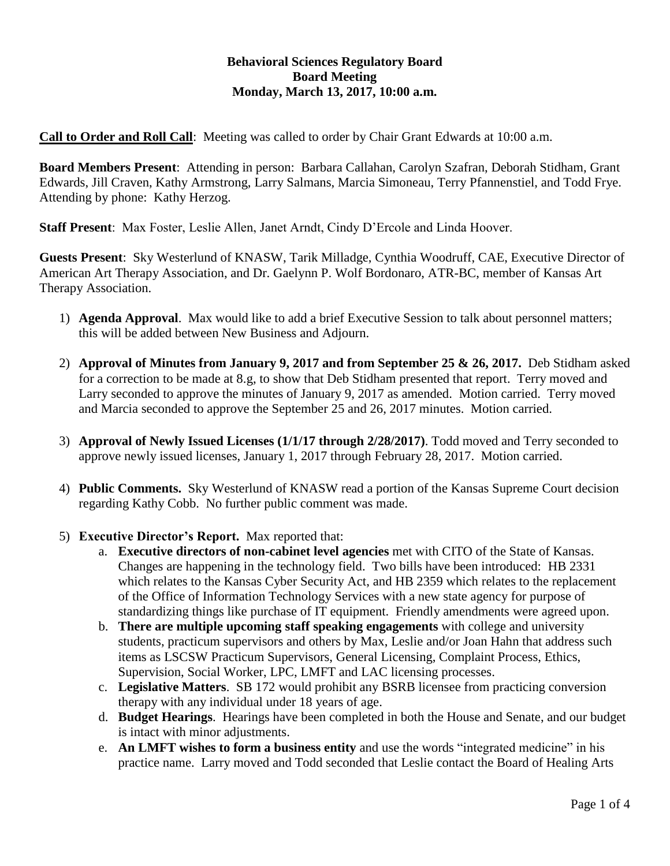# **Behavioral Sciences Regulatory Board Board Meeting Monday, March 13, 2017, 10:00 a.m.**

**Call to Order and Roll Call**: Meeting was called to order by Chair Grant Edwards at 10:00 a.m.

**Board Members Present**: Attending in person: Barbara Callahan, Carolyn Szafran, Deborah Stidham, Grant Edwards, Jill Craven, Kathy Armstrong, Larry Salmans, Marcia Simoneau, Terry Pfannenstiel, and Todd Frye. Attending by phone: Kathy Herzog.

**Staff Present**: Max Foster, Leslie Allen, Janet Arndt, Cindy D'Ercole and Linda Hoover.

**Guests Present**: Sky Westerlund of KNASW, Tarik Milladge, Cynthia Woodruff, CAE, Executive Director of American Art Therapy Association, and Dr. Gaelynn P. Wolf Bordonaro, ATR-BC, member of Kansas Art Therapy Association.

- 1) **Agenda Approval**. Max would like to add a brief Executive Session to talk about personnel matters; this will be added between New Business and Adjourn.
- 2) **Approval of Minutes from January 9, 2017 and from September 25 & 26, 2017.** Deb Stidham asked for a correction to be made at 8.g, to show that Deb Stidham presented that report. Terry moved and Larry seconded to approve the minutes of January 9, 2017 as amended. Motion carried. Terry moved and Marcia seconded to approve the September 25 and 26, 2017 minutes. Motion carried.
- 3) **Approval of Newly Issued Licenses (1/1/17 through 2/28/2017)**. Todd moved and Terry seconded to approve newly issued licenses, January 1, 2017 through February 28, 2017. Motion carried.
- 4) **Public Comments.** Sky Westerlund of KNASW read a portion of the Kansas Supreme Court decision regarding Kathy Cobb. No further public comment was made.
- 5) **Executive Director's Report.** Max reported that:
	- a. **Executive directors of non-cabinet level agencies** met with CITO of the State of Kansas. Changes are happening in the technology field. Two bills have been introduced: HB 2331 which relates to the Kansas Cyber Security Act, and HB 2359 which relates to the replacement of the Office of Information Technology Services with a new state agency for purpose of standardizing things like purchase of IT equipment. Friendly amendments were agreed upon.
	- b. **There are multiple upcoming staff speaking engagements** with college and university students, practicum supervisors and others by Max, Leslie and/or Joan Hahn that address such items as LSCSW Practicum Supervisors, General Licensing, Complaint Process, Ethics, Supervision, Social Worker, LPC, LMFT and LAC licensing processes.
	- c. **Legislative Matters**. SB 172 would prohibit any BSRB licensee from practicing conversion therapy with any individual under 18 years of age.
	- d. **Budget Hearings**. Hearings have been completed in both the House and Senate, and our budget is intact with minor adjustments.
	- e. **An LMFT wishes to form a business entity** and use the words "integrated medicine" in his practice name. Larry moved and Todd seconded that Leslie contact the Board of Healing Arts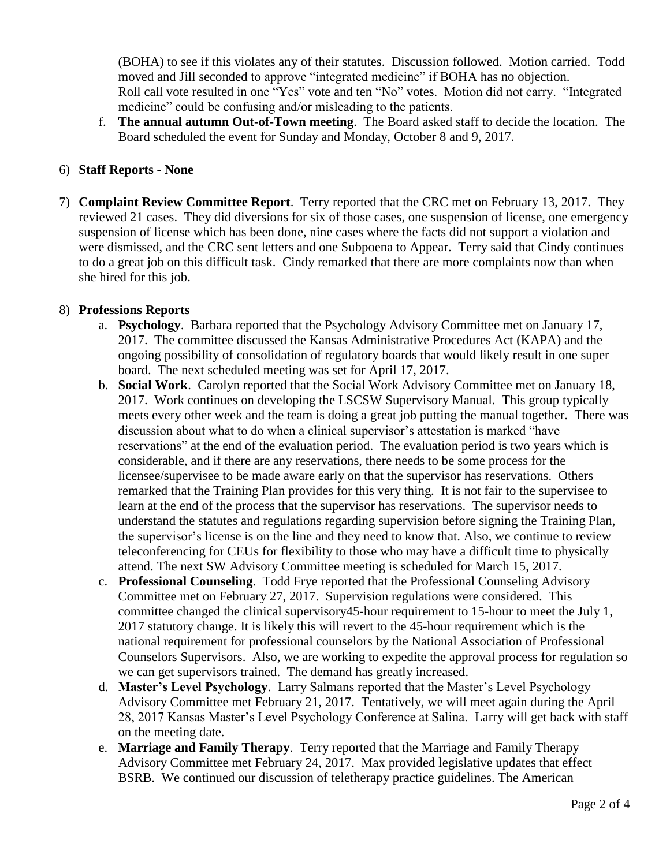(BOHA) to see if this violates any of their statutes. Discussion followed. Motion carried. Todd moved and Jill seconded to approve "integrated medicine" if BOHA has no objection. Roll call vote resulted in one "Yes" vote and ten "No" votes. Motion did not carry. "Integrated medicine" could be confusing and/or misleading to the patients.

f. **The annual autumn Out-of-Town meeting**. The Board asked staff to decide the location. The Board scheduled the event for Sunday and Monday, October 8 and 9, 2017.

## 6) **Staff Reports - None**

7) **Complaint Review Committee Report**. Terry reported that the CRC met on February 13, 2017. They reviewed 21 cases. They did diversions for six of those cases, one suspension of license, one emergency suspension of license which has been done, nine cases where the facts did not support a violation and were dismissed, and the CRC sent letters and one Subpoena to Appear. Terry said that Cindy continues to do a great job on this difficult task. Cindy remarked that there are more complaints now than when she hired for this job.

#### 8) **Professions Reports**

- a. **Psychology**. Barbara reported that the Psychology Advisory Committee met on January 17, 2017. The committee discussed the Kansas Administrative Procedures Act (KAPA) and the ongoing possibility of consolidation of regulatory boards that would likely result in one super board. The next scheduled meeting was set for April 17, 2017.
- b. **Social Work**.Carolyn reported that the Social Work Advisory Committee met on January 18, 2017. Work continues on developing the LSCSW Supervisory Manual. This group typically meets every other week and the team is doing a great job putting the manual together. There was discussion about what to do when a clinical supervisor's attestation is marked "have reservations" at the end of the evaluation period. The evaluation period is two years which is considerable, and if there are any reservations, there needs to be some process for the licensee/supervisee to be made aware early on that the supervisor has reservations. Others remarked that the Training Plan provides for this very thing. It is not fair to the supervisee to learn at the end of the process that the supervisor has reservations. The supervisor needs to understand the statutes and regulations regarding supervision before signing the Training Plan, the supervisor's license is on the line and they need to know that. Also, we continue to review teleconferencing for CEUs for flexibility to those who may have a difficult time to physically attend. The next SW Advisory Committee meeting is scheduled for March 15, 2017.
- c. **Professional Counseling**. Todd Frye reported that the Professional Counseling Advisory Committee met on February 27, 2017. Supervision regulations were considered. This committee changed the clinical supervisory45-hour requirement to 15-hour to meet the July 1, 2017 statutory change. It is likely this will revert to the 45-hour requirement which is the national requirement for professional counselors by the National Association of Professional Counselors Supervisors. Also, we are working to expedite the approval process for regulation so we can get supervisors trained. The demand has greatly increased.
- d. **Master's Level Psychology**.Larry Salmans reported that the Master's Level Psychology Advisory Committee met February 21, 2017. Tentatively, we will meet again during the April 28, 2017 Kansas Master's Level Psychology Conference at Salina. Larry will get back with staff on the meeting date.
- e. **Marriage and Family Therapy**. Terry reported that the Marriage and Family Therapy Advisory Committee met February 24, 2017. Max provided legislative updates that effect BSRB. We continued our discussion of teletherapy practice guidelines. The American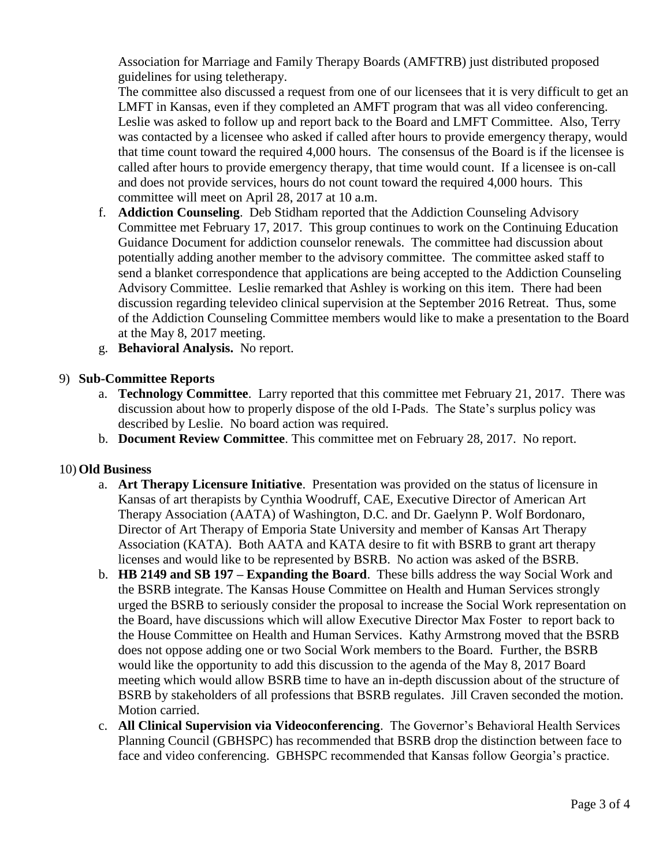Association for Marriage and Family Therapy Boards (AMFTRB) just distributed proposed guidelines for using teletherapy.

The committee also discussed a request from one of our licensees that it is very difficult to get an LMFT in Kansas, even if they completed an AMFT program that was all video conferencing. Leslie was asked to follow up and report back to the Board and LMFT Committee. Also, Terry was contacted by a licensee who asked if called after hours to provide emergency therapy, would that time count toward the required 4,000 hours. The consensus of the Board is if the licensee is called after hours to provide emergency therapy, that time would count. If a licensee is on-call and does not provide services, hours do not count toward the required 4,000 hours. This committee will meet on April 28, 2017 at 10 a.m.

- f. **Addiction Counseling**. Deb Stidham reported that the Addiction Counseling Advisory Committee met February 17, 2017. This group continues to work on the Continuing Education Guidance Document for addiction counselor renewals. The committee had discussion about potentially adding another member to the advisory committee. The committee asked staff to send a blanket correspondence that applications are being accepted to the Addiction Counseling Advisory Committee. Leslie remarked that Ashley is working on this item. There had been discussion regarding televideo clinical supervision at the September 2016 Retreat. Thus, some of the Addiction Counseling Committee members would like to make a presentation to the Board at the May 8, 2017 meeting.
- g. **Behavioral Analysis.** No report.

# 9) **Sub-Committee Reports**

- a. **Technology Committee**. Larry reported that this committee met February 21, 2017. There was discussion about how to properly dispose of the old I-Pads. The State's surplus policy was described by Leslie. No board action was required.
- b. **Document Review Committee**. This committee met on February 28, 2017. No report.

## 10) **Old Business**

- a. **Art Therapy Licensure Initiative**. Presentation was provided on the status of licensure in Kansas of art therapists by Cynthia Woodruff, CAE, Executive Director of American Art Therapy Association (AATA) of Washington, D.C. and Dr. Gaelynn P. Wolf Bordonaro, Director of Art Therapy of Emporia State University and member of Kansas Art Therapy Association (KATA). Both AATA and KATA desire to fit with BSRB to grant art therapy licenses and would like to be represented by BSRB. No action was asked of the BSRB.
- b. **HB 2149 and SB 197 – Expanding the Board**. These bills address the way Social Work and the BSRB integrate. The Kansas House Committee on Health and Human Services strongly urged the BSRB to seriously consider the proposal to increase the Social Work representation on the Board, have discussions which will allow Executive Director Max Foster to report back to the House Committee on Health and Human Services. Kathy Armstrong moved that the BSRB does not oppose adding one or two Social Work members to the Board. Further, the BSRB would like the opportunity to add this discussion to the agenda of the May 8, 2017 Board meeting which would allow BSRB time to have an in-depth discussion about of the structure of BSRB by stakeholders of all professions that BSRB regulates. Jill Craven seconded the motion. Motion carried.
- c. **All Clinical Supervision via Videoconferencing**. The Governor's Behavioral Health Services Planning Council (GBHSPC) has recommended that BSRB drop the distinction between face to face and video conferencing. GBHSPC recommended that Kansas follow Georgia's practice.